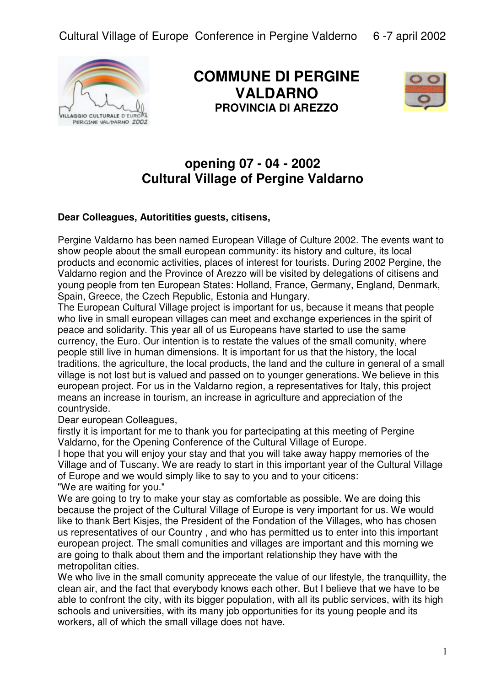

**COMMUNE DI PERGINE VALDARNO PROVINCIA DI AREZZO** 



## **opening 07 - 04 - 2002 Cultural Village of Pergine Valdarno**

## **Dear Colleagues, Autoritities guests, citisens,**

Pergine Valdarno has been named European Village of Culture 2002. The events want to show people about the small european community: its history and culture, its local products and economic activities, places of interest for tourists. During 2002 Pergine, the Valdarno region and the Province of Arezzo will be visited by delegations of citisens and young people from ten European States: Holland, France, Germany, England, Denmark, Spain, Greece, the Czech Republic, Estonia and Hungary.

The European Cultural Village project is important for us, because it means that people who live in small european villages can meet and exchange experiences in the spirit of peace and solidarity. This year all of us Europeans have started to use the same currency, the Euro. Our intention is to restate the values of the small comunity, where people still live in human dimensions. It is important for us that the history, the local traditions, the agriculture, the local products, the land and the culture in general of a small village is not lost but is valued and passed on to younger generations. We believe in this european project. For us in the Valdarno region, a representatives for Italy, this project means an increase in tourism, an increase in agriculture and appreciation of the countryside.

Dear european Colleagues,

firstly it is important for me to thank you for partecipating at this meeting of Pergine Valdarno, for the Opening Conference of the Cultural Village of Europe.

I hope that you will enjoy your stay and that you will take away happy memories of the Village and of Tuscany. We are ready to start in this important year of the Cultural Village of Europe and we would simply like to say to you and to your citicens: "We are waiting for you."

We are going to try to make your stay as comfortable as possible. We are doing this because the project of the Cultural Village of Europe is very important for us. We would like to thank Bert Kisjes, the President of the Fondation of the Villages, who has chosen us representatives of our Country , and who has permitted us to enter into this important european project. The small comunities and villages are important and this morning we are going to thalk about them and the important relationship they have with the metropolitan cities.

We who live in the small comunity appreceate the value of our lifestyle, the tranquillity, the clean air, and the fact that everybody knows each other. But I believe that we have to be able to confront the city, with its bigger population, with all its public services, with its high schools and universities, with its many job opportunities for its young people and its workers, all of which the small village does not have.